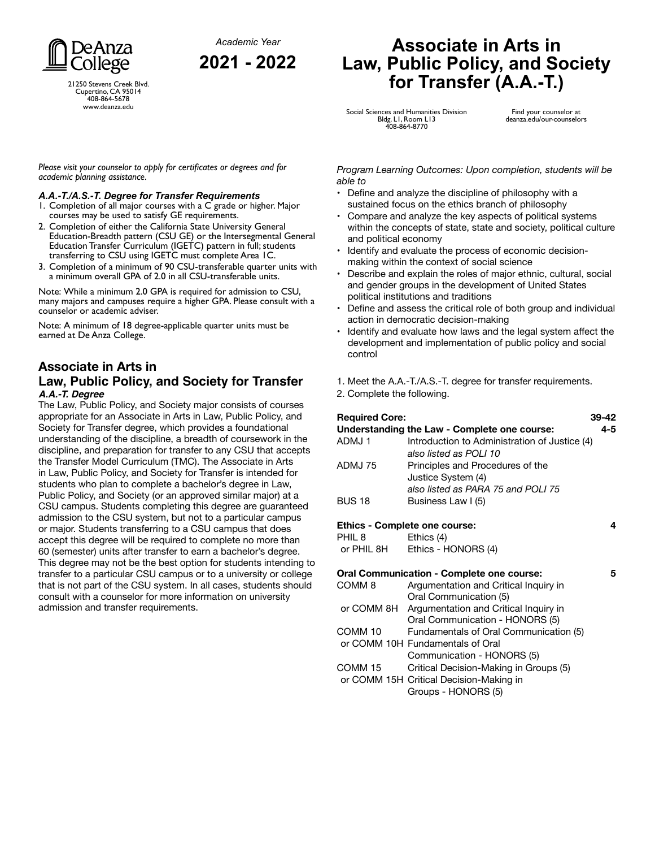*Academic Year* **2021 - 2022**



21250 Stevens Creek Blvd. Cupertino, CA 95014 408-864-5678 www.deanza.edu

*Please visit your counselor to apply for certificates or degrees and for academic planning assistance.*

#### *A.A.-T./A.S.-T. Degree for Transfer Requirements*

- 1. Completion of all major courses with a C grade or higher. Major courses may be used to satisfy GE requirements.
- 2. Completion of either the California State University General Education-Breadth pattern (CSU GE) or the Intersegmental General Education Transfer Curriculum (IGETC) pattern in full; students transferring to CSU using IGETC must complete Area 1C.
- 3. Completion of a minimum of 90 CSU-transferable quarter units with a minimum overall GPA of 2.0 in all CSU-transferable units.

Note: While a minimum 2.0 GPA is required for admission to CSU, many majors and campuses require a higher GPA. Please consult with a counselor or academic adviser.

Note: A minimum of 18 degree-applicable quarter units must be earned at De Anza College.

### **Associate in Arts in Law, Public Policy, and Society for Transfer** *A.A.-T. Degree*

The Law, Public Policy, and Society major consists of courses appropriate for an Associate in Arts in Law, Public Policy, and Society for Transfer degree, which provides a foundational understanding of the discipline, a breadth of coursework in the discipline, and preparation for transfer to any CSU that accepts the Transfer Model Curriculum (TMC). The Associate in Arts in Law, Public Policy, and Society for Transfer is intended for students who plan to complete a bachelor's degree in Law, Public Policy, and Society (or an approved similar major) at a CSU campus. Students completing this degree are guaranteed admission to the CSU system, but not to a particular campus or major. Students transferring to a CSU campus that does accept this degree will be required to complete no more than 60 (semester) units after transfer to earn a bachelor's degree. This degree may not be the best option for students intending to transfer to a particular CSU campus or to a university or college that is not part of the CSU system. In all cases, students should consult with a counselor for more information on university admission and transfer requirements.

### **Associate in Arts in Law, Public Policy, and Society for Transfer (A.A.-T.)**

Social Sciences and Humanities Division Bldg. L1, Room L13 408-864-8770

Find your counselor at deanza.edu/our-counselors

*Program Learning Outcomes: Upon completion, students will be able to*

- Define and analyze the discipline of philosophy with a sustained focus on the ethics branch of philosophy
- Compare and analyze the key aspects of political systems within the concepts of state, state and society, political culture and political economy
- Identify and evaluate the process of economic decisionmaking within the context of social science
- Describe and explain the roles of major ethnic, cultural, social and gender groups in the development of United States political institutions and traditions
- Define and assess the critical role of both group and individual action in democratic decision-making
- Identify and evaluate how laws and the legal system affect the development and implementation of public policy and social control
- 1. Meet the A.A.-T./A.S.-T. degree for transfer requirements.
- 2. Complete the following.

| <b>Required Core:</b><br>Understanding the Law - Complete one course: |                                                                                                          |  |  |
|-----------------------------------------------------------------------|----------------------------------------------------------------------------------------------------------|--|--|
| ADMJ1                                                                 | Introduction to Administration of Justice (4)<br>also listed as POLI 10                                  |  |  |
| ADMJ 75                                                               | Principles and Procedures of the<br>Justice System (4)<br>also listed as PARA 75 and POLI 75             |  |  |
| <b>BUS 18</b>                                                         | Business Law I (5)                                                                                       |  |  |
| <b>Ethics - Complete one course:</b><br>4                             |                                                                                                          |  |  |
| PHIL 8<br>or PHIL 8H                                                  | Ethics (4)<br>Ethics - HONORS (4)                                                                        |  |  |
| <b>Oral Communication - Complete one course:</b>                      |                                                                                                          |  |  |
| COMM 8                                                                | Argumentation and Critical Inquiry in<br>Oral Communication (5)                                          |  |  |
|                                                                       | or COMM 8H Argumentation and Critical Inquiry in<br>Oral Communication - HONORS (5)                      |  |  |
| COMM 10                                                               | Fundamentals of Oral Communication (5)                                                                   |  |  |
|                                                                       | or COMM 10H Fundamentals of Oral<br>Communication - HONORS (5)                                           |  |  |
| COMM 15                                                               | Critical Decision-Making in Groups (5)<br>or COMM 15H Critical Decision-Making in<br>Groups - HONORS (5) |  |  |